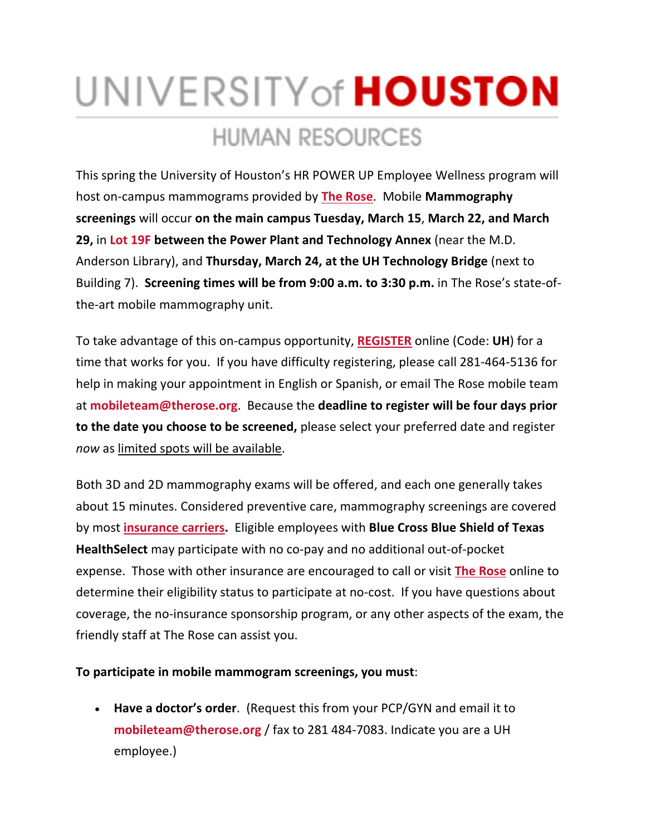# UNIVERSITY of **HOUSTON HUMAN RESOURCES**

This spring the University of Houston's HR POWER UP Employee Wellness program will host on-campus mammograms provided by **[The Rose](https://cloudapps.uh.edu/sendit/l/aQWIL5Hvz8MebkJzITqY6A/ZNcdspCHkp5XE73892Klj8Nw/ks6h1IPaDAMrsz9gjrk2mQ)**. Mobile **Mammography screenings** will occur **on the main campus Tuesday, March 15**, **March 22, and March 29,** in **[Lot 19F](https://cloudapps.uh.edu/sendit/l/aQWIL5Hvz8MebkJzITqY6A/AcChi4NIKj6mbOkWjL17892Q/ks6h1IPaDAMrsz9gjrk2mQ) between the Power Plant and Technology Annex** (near the M.D. Anderson Library), and **Thursday, March 24, at the UH Technology Bridge** (next to Building 7). **Screening times will be from 9:00 a.m. to 3:30 p.m.** in The Rose's state-ofthe-art mobile mammography unit.

To take advantage of this on-campus opportunity, **[REGISTER](https://cloudapps.uh.edu/sendit/l/aQWIL5Hvz8MebkJzITqY6A/eDcp0xrNaVKBL0fgdMNRsw/ks6h1IPaDAMrsz9gjrk2mQ)** online (Code: **UH**) for a time that works for you. If you have difficulty registering, please call 281-464-5136 for help in making your appointment in English or Spanish, or email The Rose mobile team at **[mobileteam@therose.org](mailto:mobileteam@therose.org)**. Because the **deadline to register will be four days prior to the date you choose to be screened,** please select your preferred date and register *now* as limited spots will be available.

Both 3D and 2D mammography exams will be offered, and each one generally takes about 15 minutes. Considered preventive care, mammography screenings are covered by most **[insurance carriers.](https://cloudapps.uh.edu/sendit/l/aQWIL5Hvz8MebkJzITqY6A/XRgLFa2HB763Xt6QDYZ8ODDg/ks6h1IPaDAMrsz9gjrk2mQ)** Eligible employees with **Blue Cross Blue Shield of Texas HealthSelect** may participate with no co-pay and no additional out-of-pocket expense. Those with other insurance are encouraged to call or visit **[The Rose](https://cloudapps.uh.edu/sendit/l/aQWIL5Hvz8MebkJzITqY6A/8Ql8ANn2fEMqyV6tDwGNQg/ks6h1IPaDAMrsz9gjrk2mQ)** online to determine their eligibility status to participate at no-cost. If you have questions about coverage, the no-insurance sponsorship program, or any other aspects of the exam, the friendly staff at The Rose can assist you.

# **To participate in mobile mammogram screenings, you must**:

• **Have a doctor's order**. (Request this from your PCP/GYN and email it to **[mobileteam@therose.org](mailto:mobileteam@therose.org)** / fax to 281 484-7083. Indicate you are a UH employee.)